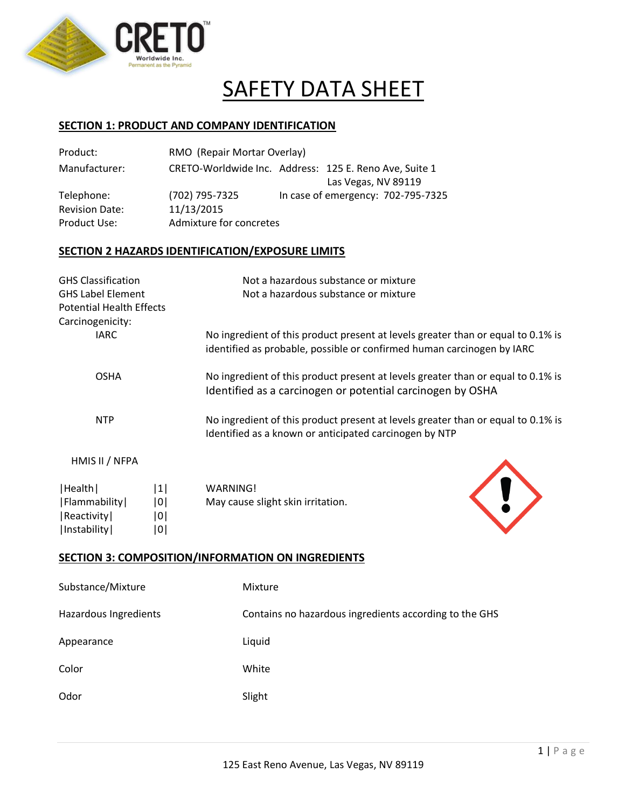

# SAFETY DATA SHEET

## **SECTION 1: PRODUCT AND COMPANY IDENTIFICATION**

| Product:                                                           | RMO (Repair Mortar Overlay)                             |                                                                                                                                                            |
|--------------------------------------------------------------------|---------------------------------------------------------|------------------------------------------------------------------------------------------------------------------------------------------------------------|
| Manufacturer:                                                      |                                                         | CRETO-Worldwide Inc. Address: 125 E. Reno Ave, Suite 1<br>Las Vegas, NV 89119                                                                              |
| Telephone:<br><b>Revision Date:</b><br>Product Use:                | (702) 795-7325<br>11/13/2015<br>Admixture for concretes | In case of emergency: 702-795-7325                                                                                                                         |
|                                                                    | SECTION 2 HAZARDS IDENTIFICATION/EXPOSURE LIMITS        |                                                                                                                                                            |
| <b>GHS Classification</b><br><b>GHS Label Element</b>              |                                                         | Not a hazardous substance or mixture<br>Not a hazardous substance or mixture                                                                               |
| <b>Potential Health Effects</b><br>Carcinogenicity:<br><b>IARC</b> |                                                         | No ingredient of this product present at levels greater than or equal to 0.1% is<br>identified as probable, possible or confirmed human carcinogen by IARC |
| <b>OSHA</b>                                                        |                                                         | No ingredient of this product present at levels greater than or equal to 0.1% is<br>Identified as a carcinogen or potential carcinogen by OSHA             |
| <b>NTP</b>                                                         |                                                         | No ingredient of this product present at levels greater than or equal to 0.1% is<br>Identified as a known or anticipated carcinogen by NTP                 |
| HMIS II / NFPA                                                     |                                                         |                                                                                                                                                            |
| ا Haalth ا                                                         | 111<br><i><b>MARNINGI</b></i>                           |                                                                                                                                                            |

| Health       | 1   | WARNING!                          |
|--------------|-----|-----------------------------------|
| Flammability | 101 | May cause slight skin irritation. |
| Reactivity   | 101 |                                   |

|Instability| |0|



## **SECTION 3: COMPOSITION/INFORMATION ON INGREDIENTS**

| Substance/Mixture     | Mixture                                                |
|-----------------------|--------------------------------------------------------|
| Hazardous Ingredients | Contains no hazardous ingredients according to the GHS |
| Appearance            | Liquid                                                 |
| Color                 | White                                                  |
| Odor                  | Slight                                                 |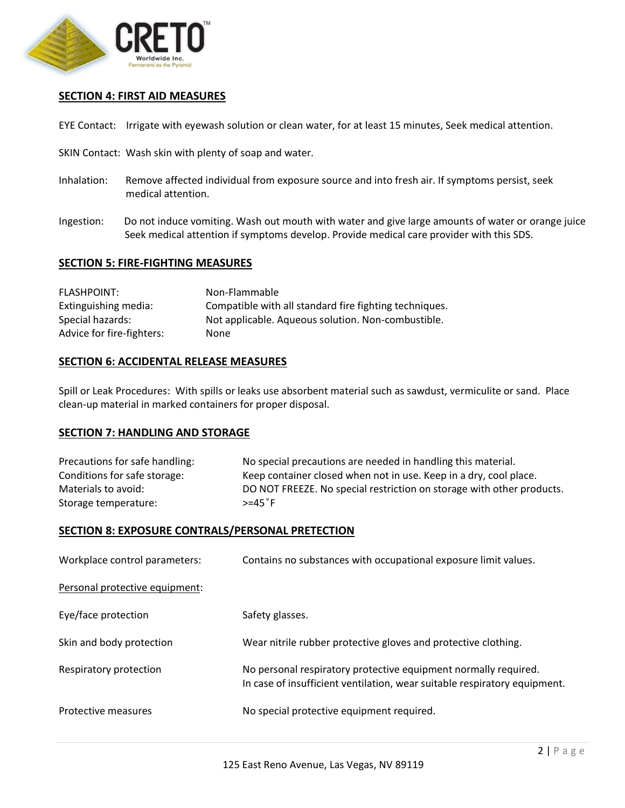

## **SECTION 4: FIRST AID MEASURES**

EYE Contact: Irrigate with eyewash solution or clean water, for at least 15 minutes, Seek medical attention.

- SKIN Contact: Wash skin with plenty of soap and water.
- Inhalation: Remove affected individual from exposure source and into fresh air. If symptoms persist, seek medical attention.
- Ingestion: Do not induce vomiting. Wash out mouth with water and give large amounts of water or orange juice Seek medical attention if symptoms develop. Provide medical care provider with this SDS.

## **SECTION 5: FIRE-FIGHTING MEASURES**

| FLASHPOINT:               | Non-Flammable                                          |
|---------------------------|--------------------------------------------------------|
| Extinguishing media:      | Compatible with all standard fire fighting techniques. |
| Special hazards:          | Not applicable. Aqueous solution. Non-combustible.     |
| Advice for fire-fighters: | None                                                   |

## **SECTION 6: ACCIDENTAL RELEASE MEASURES**

Spill or Leak Procedures: With spills or leaks use absorbent material such as sawdust, vermiculite or sand. Place clean-up material in marked containers for proper disposal.

## **SECTION 7: HANDLING AND STORAGE**

| Precautions for safe handling: | No special precautions are needed in handling this material.          |
|--------------------------------|-----------------------------------------------------------------------|
| Conditions for safe storage:   | Keep container closed when not in use. Keep in a dry, cool place.     |
| Materials to avoid:            | DO NOT FREEZE. No special restriction on storage with other products. |
| Storage temperature:           | $> = 45°F$                                                            |

## **SECTION 8: EXPOSURE CONTRALS/PERSONAL PRETECTION**

| Workplace control parameters:  | Contains no substances with occupational exposure limit values.                                                                              |
|--------------------------------|----------------------------------------------------------------------------------------------------------------------------------------------|
| Personal protective equipment: |                                                                                                                                              |
| Eye/face protection            | Safety glasses.                                                                                                                              |
| Skin and body protection       | Wear nitrile rubber protective gloves and protective clothing.                                                                               |
| Respiratory protection         | No personal respiratory protective equipment normally required.<br>In case of insufficient ventilation, wear suitable respiratory equipment. |
| Protective measures            | No special protective equipment required.                                                                                                    |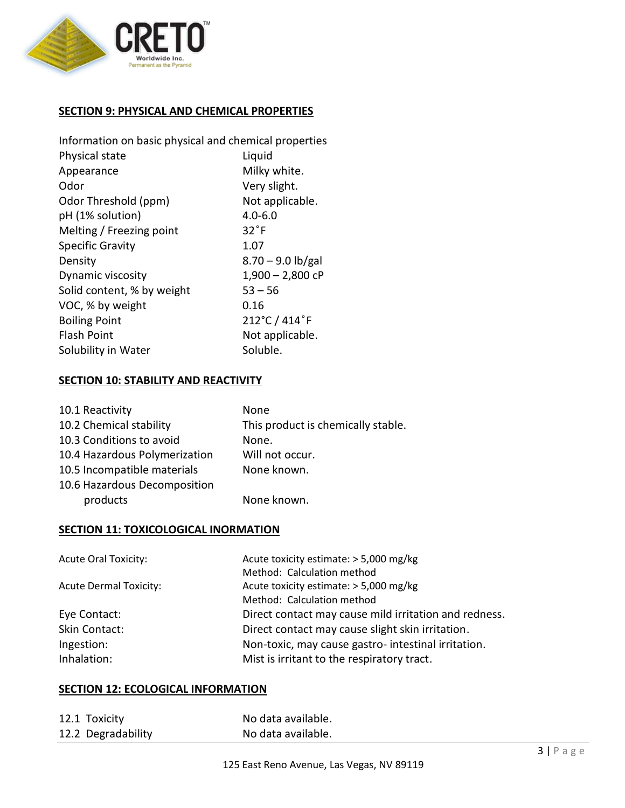

## **SECTION 9: PHYSICAL AND CHEMICAL PROPERTIES**

| Information on basic physical and chemical properties |  |  |
|-------------------------------------------------------|--|--|
| Liquid                                                |  |  |
| Milky white.                                          |  |  |
| Very slight.                                          |  |  |
| Not applicable.                                       |  |  |
| $4.0 - 6.0$                                           |  |  |
| $32^{\circ}$ F                                        |  |  |
| 1.07                                                  |  |  |
| $8.70 - 9.0$ lb/gal                                   |  |  |
| $1,900 - 2,800$ cP                                    |  |  |
| $53 - 56$                                             |  |  |
| 0.16                                                  |  |  |
| 212°C / 414°F                                         |  |  |
| Not applicable.                                       |  |  |
| Soluble.                                              |  |  |
|                                                       |  |  |

## **SECTION 10: STABILITY AND REACTIVITY**

| 10.1 Reactivity               | None                               |
|-------------------------------|------------------------------------|
| 10.2 Chemical stability       | This product is chemically stable. |
| 10.3 Conditions to avoid      | None.                              |
| 10.4 Hazardous Polymerization | Will not occur.                    |
| 10.5 Incompatible materials   | None known.                        |
| 10.6 Hazardous Decomposition  |                                    |
| products                      | None known.                        |

# **SECTION 11: TOXICOLOGICAL INORMATION**

| <b>Acute Oral Toxicity:</b>   | Acute toxicity estimate: > 5,000 mg/kg                |
|-------------------------------|-------------------------------------------------------|
|                               | Method: Calculation method                            |
| <b>Acute Dermal Toxicity:</b> | Acute toxicity estimate: > 5,000 mg/kg                |
|                               | Method: Calculation method                            |
| Eye Contact:                  | Direct contact may cause mild irritation and redness. |
| Skin Contact:                 | Direct contact may cause slight skin irritation.      |
| Ingestion:                    | Non-toxic, may cause gastro- intestinal irritation.   |
| Inhalation:                   | Mist is irritant to the respiratory tract.            |
|                               |                                                       |

## **SECTION 12: ECOLOGICAL INFORMATION**

| 12.1 Toxicity      | No data available. |
|--------------------|--------------------|
| 12.2 Degradability | No data available. |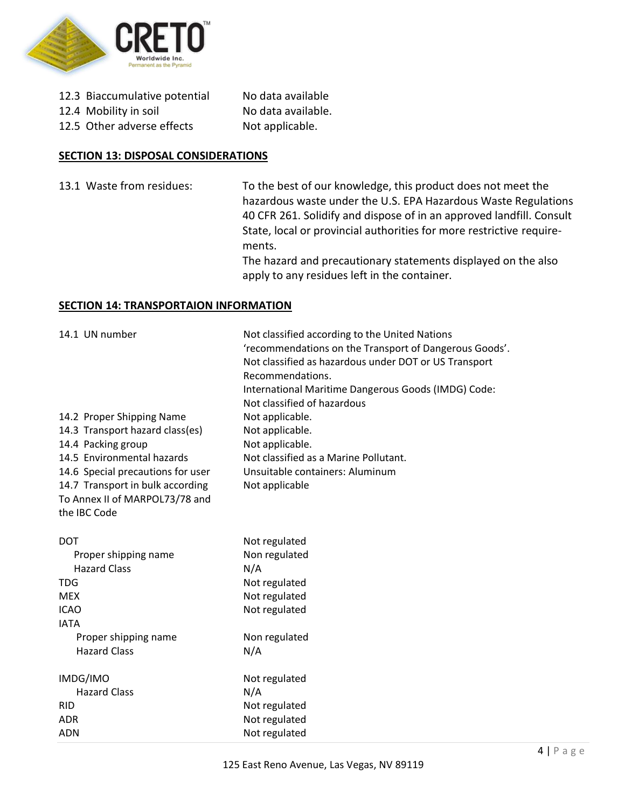

| 12.3 Biaccumulative potential | No data available  |
|-------------------------------|--------------------|
| 12.4 Mobility in soil         | No data available. |
| 12.5 Other adverse effects    | Not applicable.    |

## **SECTION 13: DISPOSAL CONSIDERATIONS**

13.1 Waste from residues: To the best of our knowledge, this product does not meet the hazardous waste under the U.S. EPA Hazardous Waste Regulations 40 CFR 261. Solidify and dispose of in an approved landfill. Consult State, local or provincial authorities for more restrictive requirements.

> The hazard and precautionary statements displayed on the also apply to any residues left in the container.

## **SECTION 14: TRANSPORTAION INFORMATION**

| 14.1 UN number                                        | Not classified according to the United Nations<br>'recommendations on the Transport of Dangerous Goods'.<br>Not classified as hazardous under DOT or US Transport<br>Recommendations.<br>International Maritime Dangerous Goods (IMDG) Code:<br>Not classified of hazardous |
|-------------------------------------------------------|-----------------------------------------------------------------------------------------------------------------------------------------------------------------------------------------------------------------------------------------------------------------------------|
| 14.2 Proper Shipping Name                             | Not applicable.<br>Not applicable.                                                                                                                                                                                                                                          |
| 14.3 Transport hazard class(es)<br>14.4 Packing group | Not applicable.                                                                                                                                                                                                                                                             |
| 14.5 Environmental hazards                            | Not classified as a Marine Pollutant.                                                                                                                                                                                                                                       |
| 14.6 Special precautions for user                     | Unsuitable containers: Aluminum                                                                                                                                                                                                                                             |
| 14.7 Transport in bulk according                      | Not applicable                                                                                                                                                                                                                                                              |
| To Annex II of MARPOL73/78 and<br>the IBC Code        |                                                                                                                                                                                                                                                                             |
|                                                       |                                                                                                                                                                                                                                                                             |
| <b>DOT</b>                                            | Not regulated                                                                                                                                                                                                                                                               |
| Proper shipping name                                  | Non regulated                                                                                                                                                                                                                                                               |
| <b>Hazard Class</b>                                   | N/A                                                                                                                                                                                                                                                                         |
| <b>TDG</b>                                            | Not regulated                                                                                                                                                                                                                                                               |
| <b>MEX</b>                                            | Not regulated                                                                                                                                                                                                                                                               |
| <b>ICAO</b>                                           | Not regulated                                                                                                                                                                                                                                                               |
| <b>IATA</b>                                           |                                                                                                                                                                                                                                                                             |
| Proper shipping name<br><b>Hazard Class</b>           | Non regulated<br>N/A                                                                                                                                                                                                                                                        |
|                                                       |                                                                                                                                                                                                                                                                             |
| IMDG/IMO                                              | Not regulated                                                                                                                                                                                                                                                               |
| <b>Hazard Class</b>                                   | N/A                                                                                                                                                                                                                                                                         |
| <b>RID</b>                                            | Not regulated                                                                                                                                                                                                                                                               |
| <b>ADR</b>                                            | Not regulated                                                                                                                                                                                                                                                               |
| <b>ADN</b>                                            | Not regulated                                                                                                                                                                                                                                                               |